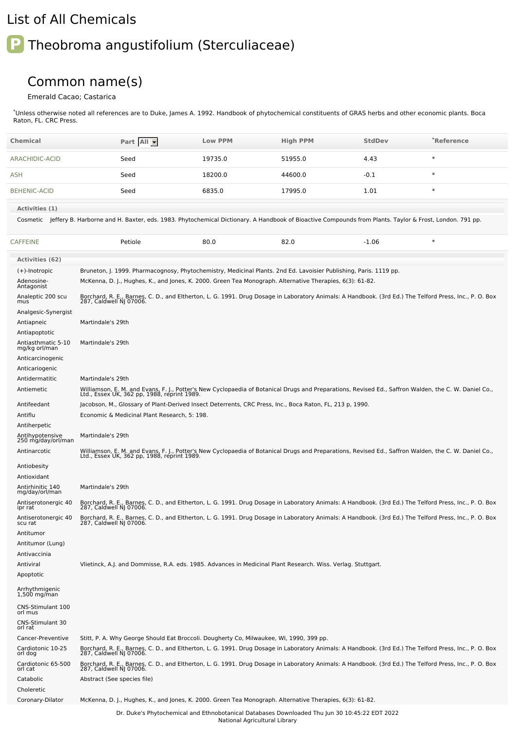## List of All Chemicals

## **P** Theobroma angustifolium (Sterculiaceae)

## Common name(s)

## Emerald Cacao; Castarica

\*Unless otherwise noted all references are to Duke, James A. 1992. Handbook of phytochemical constituents of GRAS herbs and other economic plants. Boca Raton, FL. CRC Press.

| <b>Chemical</b>                                                 | Part All -                                                                                                                                                                                                                    | <b>Low PPM</b> | <b>High PPM</b> | <b>StdDev</b> | *Reference |
|-----------------------------------------------------------------|-------------------------------------------------------------------------------------------------------------------------------------------------------------------------------------------------------------------------------|----------------|-----------------|---------------|------------|
| ARACHIDIC-ACID                                                  | Seed                                                                                                                                                                                                                          | 19735.0        | 51955.0         | 4.43          | $\ast$     |
| ASH                                                             | Seed                                                                                                                                                                                                                          | 18200.0        | 44600.0         | $-0.1$        | $\ast$     |
| <b>BEHENIC-ACID</b>                                             | Seed                                                                                                                                                                                                                          | 6835.0         | 17995.0         | 1.01          | $\ast$     |
| Activities (1)                                                  | Cosmetic Jeffery B. Harborne and H. Baxter, eds. 1983. Phytochemical Dictionary. A Handbook of Bioactive Compounds from Plants. Taylor & Frost, London. 791 pp.                                                               |                |                 |               |            |
| <b>CAFFEINE</b>                                                 | Petiole                                                                                                                                                                                                                       | 80.0           | 82.0            | $-1.06$       | $\ast$     |
| <b>Activities (62)</b>                                          |                                                                                                                                                                                                                               |                |                 |               |            |
| (+)-Inotropic<br>Adenosine-<br>Antagonist                       | Bruneton, J. 1999. Pharmacognosy, Phytochemistry, Medicinal Plants. 2nd Ed. Lavoisier Publishing, Paris. 1119 pp.<br>McKenna, D. J., Hughes, K., and Jones, K. 2000. Green Tea Monograph. Alternative Therapies, 6(3): 61-82. |                |                 |               |            |
| Analeptic 200 scu<br>mus                                        | Borchard, R. E., Barnes, C. D., and Eltherton, L. G. 1991. Drug Dosage in Laboratory Animals: A Handbook. (3rd Ed.) The Telford Press, Inc., P. O. Box<br>287, Caldwell NJ 07006.                                             |                |                 |               |            |
| Analgesic-Synergist<br>Antiapneic                               | Martindale's 29th                                                                                                                                                                                                             |                |                 |               |            |
| Antiapoptotic<br>Antiasthmatic 5-10<br>mg/kg orl/man            | Martindale's 29th                                                                                                                                                                                                             |                |                 |               |            |
| Anticarcinogenic<br>Anticariogenic                              |                                                                                                                                                                                                                               |                |                 |               |            |
| Antidermatitic<br>Antiemetic                                    | Martindale's 29th<br>Williamson, E. M. and Evans, F. J., Potter's New Cyclopaedia of Botanical Drugs and Preparations, Revised Ed., Saffron Walden, the C. W. Daniel Co.,                                                     |                |                 |               |            |
| Antifeedant                                                     | Ltd., Essex UK, 362 pp, 1988, reprint 1989.<br>Jacobson, M., Glossary of Plant-Derived Insect Deterrents, CRC Press, Inc., Boca Raton, FL, 213 p, 1990.                                                                       |                |                 |               |            |
| Antiflu<br>Antiherpetic                                         | Economic & Medicinal Plant Research, 5: 198.                                                                                                                                                                                  |                |                 |               |            |
| Antihypotensive<br>250 mg/day/orl/man                           | Martindale's 29th                                                                                                                                                                                                             |                |                 |               |            |
| Antinarcotic                                                    | Williamson, E. M. and Evans, F. J., Potter's New Cyclopaedia of Botanical Drugs and Preparations, Revised Ed., Saffron Walden, the C. W. Daniel Co.,<br>Ltd., Essex UK, 362 pp, 1988, reprint 1989.                           |                |                 |               |            |
| Antiobesity<br>Antioxidant                                      |                                                                                                                                                                                                                               |                |                 |               |            |
| Antirhinitic 140<br>mg/day/orl/man                              | Martindale's 29th                                                                                                                                                                                                             |                |                 |               |            |
| Antiserotonergic 40<br>ipr rat                                  | Borchard, R. E., Barnes, C. D., and Eltherton, L. G. 1991. Drug Dosage in Laboratory Animals: A Handbook. (3rd Ed.) The Telford Press, Inc., P. O. Box<br>287, Caldwell NJ 07006.                                             |                |                 |               |            |
| Antiserotonergic 40<br>scu rat<br>Antitumor<br>Antitumor (Lung) | Borchard, R. E., Barnes, C. D., and Eltherton, L. G. 1991. Drug Dosage in Laboratory Animals: A Handbook. (3rd Ed.) The Telford Press, Inc., P. O. Box<br>287, Caldwell NJ 07006.                                             |                |                 |               |            |
| Antivaccinia<br>Antiviral<br>Apoptotic                          | Vlietinck, A.J. and Dommisse, R.A. eds. 1985. Advances in Medicinal Plant Research. Wiss. Verlag. Stuttgart.                                                                                                                  |                |                 |               |            |
| Arrhythmigenic<br>1,500 mg/man                                  |                                                                                                                                                                                                                               |                |                 |               |            |
| CNS-Stimulant 100<br>orl mus                                    |                                                                                                                                                                                                                               |                |                 |               |            |
| CNS-Stimulant 30<br>orl rat                                     |                                                                                                                                                                                                                               |                |                 |               |            |
| Cancer-Preventive                                               | Stitt, P. A. Why George Should Eat Broccoli. Dougherty Co, Milwaukee, WI, 1990, 399 pp.                                                                                                                                       |                |                 |               |            |
| Cardiotonic 10-25<br>orl dog                                    | Borchard, R. E., Barnes, C. D., and Eltherton, L. G. 1991. Drug Dosage in Laboratory Animals: A Handbook. (3rd Ed.) The Telford Press, Inc., P. O. Box<br>287, Caldwell NJ 07006.                                             |                |                 |               |            |
| Cardiotonic 65-500<br>orl cat                                   | Borchard, R. E., Barnes, C. D., and Eltherton, L. G. 1991. Drug Dosage in Laboratory Animals: A Handbook. (3rd Ed.) The Telford Press, Inc., P. O. Box<br>287, Caldwell NJ 07006.                                             |                |                 |               |            |
| Catabolic<br>Choleretic                                         | Abstract (See species file)                                                                                                                                                                                                   |                |                 |               |            |
| Coronary-Dilator                                                | McKenna, D. J., Hughes, K., and Jones, K. 2000. Green Tea Monograph. Alternative Therapies, 6(3): 61-82.                                                                                                                      |                |                 |               |            |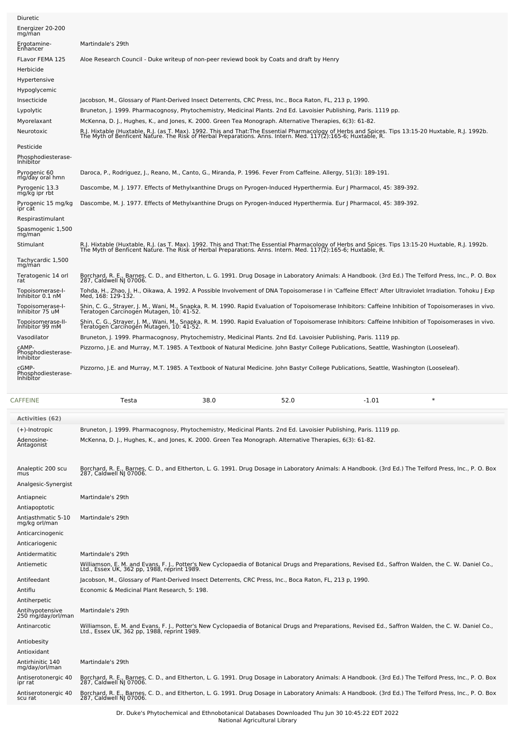| Diuretic                                 |                                                                                                                                                                                                                                   |
|------------------------------------------|-----------------------------------------------------------------------------------------------------------------------------------------------------------------------------------------------------------------------------------|
| Energizer 20-200<br>mg/man               |                                                                                                                                                                                                                                   |
| Ergotamine-<br>Enhancer                  | Martindale's 29th                                                                                                                                                                                                                 |
| <b>FLavor FEMA 125</b>                   | Aloe Research Council - Duke writeup of non-peer reviewd book by Coats and draft by Henry                                                                                                                                         |
| Herbicide                                |                                                                                                                                                                                                                                   |
| Hypertensive                             |                                                                                                                                                                                                                                   |
| Hypoglycemic                             |                                                                                                                                                                                                                                   |
| Insecticide                              | Jacobson, M., Glossary of Plant-Derived Insect Deterrents, CRC Press, Inc., Boca Raton, FL, 213 p, 1990.                                                                                                                          |
| Lypolytic                                | Bruneton, J. 1999. Pharmacognosy, Phytochemistry, Medicinal Plants. 2nd Ed. Lavoisier Publishing, Paris. 1119 pp.                                                                                                                 |
| Myorelaxant                              | McKenna, D. J., Hughes, K., and Jones, K. 2000. Green Tea Monograph. Alternative Therapies, 6(3): 61-82.                                                                                                                          |
| Neurotoxic                               | R.J. Hixtable (Huxtable, R.J. (as T. Max). 1992. This and That:The Essential Pharmacology of Herbs and Spices. Tips 13:15-20 Huxtable, R.J. 1992b.<br>The Myth of Benficent Nature. The Risk of Herbal Preparations. Anns. Intern |
| Pesticide                                |                                                                                                                                                                                                                                   |
| Phosphodiesterase-<br>Inhibitor          |                                                                                                                                                                                                                                   |
| Pyrogenic 60<br>mg/day oral hmn          | Daroca, P., Rodriguez, J., Reano, M., Canto, G., Miranda, P. 1996. Fever From Caffeine. Allergy, 51(3): 189-191.                                                                                                                  |
| Pyrogenic 13.3<br>mg/kg ipr rbt          | Dascombe, M. J. 1977. Effects of Methylxanthine Drugs on Pyrogen-Induced Hyperthermia. Eur J Pharmacol, 45: 389-392.                                                                                                              |
| Pyrogenic 15 mg/kg<br>ipr cat            | Dascombe, M. J. 1977. Effects of Methylxanthine Drugs on Pyrogen-Induced Hyperthermia. Eur J Pharmacol, 45: 389-392.                                                                                                              |
| Respirastimulant                         |                                                                                                                                                                                                                                   |
| Spasmogenic 1,500<br>mq/man              |                                                                                                                                                                                                                                   |
| Stimulant                                | R.J. Hixtable (Huxtable, R.J. (as T. Max). 1992. This and That:The Essential Pharmacology of Herbs and Spices. Tips 13:15-20 Huxtable, R.J. 1992b.<br>The Myth of Benficent Nature. The Risk of Herbal Preparations. Anns. Intern |
| Tachycardic 1,500<br>mg/man              |                                                                                                                                                                                                                                   |
| Teratogenic 14 orl<br>rat                | Borchard, R. E., Barnes, C. D., and Eltherton, L. G. 1991. Drug Dosage in Laboratory Animals: A Handbook. (3rd Ed.) The Telford Press, Inc., P. O. Box<br>287, Caldwell NJ 07006.                                                 |
| Topoisomerase-I-<br>Inhibitor 0.1 nM     | Tohda, H., Zhao, J. H., Oikawa, A. 1992. A Possible Involvement of DNA Topoisomerase I in 'Caffeine Effect' After Ultraviolet Irradiation. Tohoku J Exp<br>Med, 168: 129-132.                                                     |
| Topoisomerase-I-<br>Inhibitor 75 uM      | Shin, C. G., Strayer, J. M., Wani, M., Snapka, R. M. 1990. Rapid Evaluation of Topoisomerase Inhibitors: Caffeine Inhibition of Topoisomerases in vivo.<br>Teratogen Carcinogen Mutagen, 10: 41-52.                               |
| Topoisomerase-II-<br>Inhibitor 99 mM     | Shin, C. G., Strayer, J. M., Wani, M., Snapka, R. M. 1990. Rapid Evaluation of Topoisomerase Inhibitors: Caffeine Inhibition of Topoisomerases in vivo.<br>Teratogen Carcinogen Mutagen, 10: 41-52.                               |
| Vasodilator                              | Bruneton, J. 1999. Pharmacognosy, Phytochemistry, Medicinal Plants. 2nd Ed. Lavoisier Publishing, Paris. 1119 pp.                                                                                                                 |
| CAMP-<br>Phosphodiesterase-<br>Inhibitor | Pizzorno, J.E. and Murray, M.T. 1985. A Textbook of Natural Medicine. John Bastyr College Publications, Seattle, Washington (Looseleaf).                                                                                          |
| cGMP-<br>Phosphodiesterase-<br>Inhibitor | Pizzorno, J.E. and Murray, M.T. 1985. A Textbook of Natural Medicine. John Bastyr College Publications, Seattle, Washington (Looseleaf).                                                                                          |
|                                          |                                                                                                                                                                                                                                   |

| CAFFEINE                              | Testa                                                                                                                                                                                               | 38.0 | 52.0 | $-1.01$ | $\ast$ |
|---------------------------------------|-----------------------------------------------------------------------------------------------------------------------------------------------------------------------------------------------------|------|------|---------|--------|
| Activities (62)                       |                                                                                                                                                                                                     |      |      |         |        |
| $(+)$ -Inotropic                      | Bruneton, J. 1999. Pharmacognosy, Phytochemistry, Medicinal Plants. 2nd Ed. Lavoisier Publishing, Paris. 1119 pp.                                                                                   |      |      |         |        |
| Adenosine-<br>Antagonist              | McKenna, D. J., Hughes, K., and Jones, K. 2000. Green Tea Monograph. Alternative Therapies, 6(3): 61-82.                                                                                            |      |      |         |        |
| Analeptic 200 scu<br>mus              | Borchard, R. E., Barnes, C. D., and Eltherton, L. G. 1991. Drug Dosage in Laboratory Animals: A Handbook. (3rd Ed.) The Telford Press, Inc., P. O. Box<br>287, Caldwell NJ 07006.                   |      |      |         |        |
| Analgesic-Synergist                   |                                                                                                                                                                                                     |      |      |         |        |
| Antiapneic                            | Martindale's 29th                                                                                                                                                                                   |      |      |         |        |
| Antiapoptotic                         |                                                                                                                                                                                                     |      |      |         |        |
| Antiasthmatic 5-10<br>mg/kg orl/man   | Martindale's 29th                                                                                                                                                                                   |      |      |         |        |
| Anticarcinogenic                      |                                                                                                                                                                                                     |      |      |         |        |
| Anticariogenic                        |                                                                                                                                                                                                     |      |      |         |        |
| Antidermatitic                        | Martindale's 29th                                                                                                                                                                                   |      |      |         |        |
| Antiemetic                            | Williamson, E. M. and Evans, F. J., Potter's New Cyclopaedia of Botanical Drugs and Preparations, Revised Ed., Saffron Walden, the C. W. Daniel Co.,<br>Ltd., Essex UK, 362 pp, 1988, reprint 1989. |      |      |         |        |
| Antifeedant                           | Jacobson, M., Glossary of Plant-Derived Insect Deterrents, CRC Press, Inc., Boca Raton, FL, 213 p, 1990.                                                                                            |      |      |         |        |
| Antiflu                               | Economic & Medicinal Plant Research, 5: 198.                                                                                                                                                        |      |      |         |        |
| Antiherpetic                          |                                                                                                                                                                                                     |      |      |         |        |
| Antihypotensive<br>250 mg/day/orl/man | Martindale's 29th                                                                                                                                                                                   |      |      |         |        |
| Antinarcotic                          | Williamson, E. M. and Evans, F. J., Potter's New Cyclopaedia of Botanical Drugs and Preparations, Revised Ed., Saffron Walden, the C. W. Daniel Co.,<br>Ltd., Essex UK, 362 pp. 1988, reprint 1989. |      |      |         |        |
| Antiobesity                           |                                                                                                                                                                                                     |      |      |         |        |
| Antioxidant                           |                                                                                                                                                                                                     |      |      |         |        |
| Antirhinitic 140<br>mg/day/orl/man    | Martindale's 29th                                                                                                                                                                                   |      |      |         |        |
| Antiserotonergic 40<br>ipr rat        | Borchard, R. E., Barnes, C. D., and Eltherton, L. G. 1991. Drug Dosage in Laboratory Animals: A Handbook. (3rd Ed.) The Telford Press, Inc., P. O. Box<br>287, Caldwell NJ 07006.                   |      |      |         |        |
| Antiserotonergic 40<br>scu rat        | Borchard, R. E., Barnes, C. D., and Eltherton, L. G. 1991. Drug Dosage in Laboratory Animals: A Handbook. (3rd Ed.) The Telford Press, Inc., P. O. Box<br>287, Caldwell NJ 07006.                   |      |      |         |        |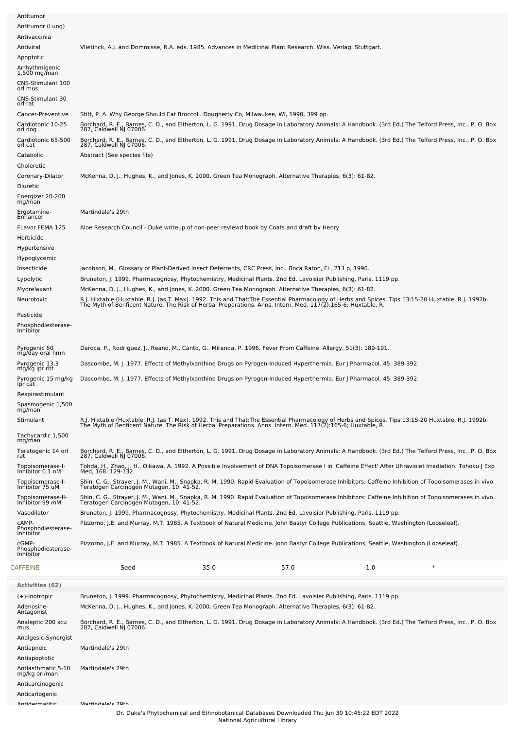| Antitumor<br>Antitumor (Lung)                                                                                                    |                                                                                                                                                                                                                                                                                                                                                                                                                                                                                                                                                                                |  |
|----------------------------------------------------------------------------------------------------------------------------------|--------------------------------------------------------------------------------------------------------------------------------------------------------------------------------------------------------------------------------------------------------------------------------------------------------------------------------------------------------------------------------------------------------------------------------------------------------------------------------------------------------------------------------------------------------------------------------|--|
| Antivaccinia                                                                                                                     |                                                                                                                                                                                                                                                                                                                                                                                                                                                                                                                                                                                |  |
| Antiviral<br>Apoptotic<br>Arrhythmigenic<br>$1,500$ mg/man<br>CNS-Stimulant 100<br>orl mus<br><b>CNS-Stimulant 30</b><br>orl rat | Vlietinck, A.J. and Dommisse, R.A. eds. 1985. Advances in Medicinal Plant Research. Wiss. Verlag. Stuttgart.                                                                                                                                                                                                                                                                                                                                                                                                                                                                   |  |
| Cancer-Preventive<br>Cardiotonic 10-25<br>orl dog                                                                                | Stitt, P. A. Why George Should Eat Broccoli. Dougherty Co, Milwaukee, WI, 1990, 399 pp.<br>Borchard, R. E., Barnes, C. D., and Eltherton, L. G. 1991. Drug Dosage in Laboratory Animals: A Handbook. (3rd Ed.) The Telford Press, Inc., P. O. Box<br>287, Caldwell NJ 07006.                                                                                                                                                                                                                                                                                                   |  |
| Cardiotonic 65-500<br>orl cat<br>Catabolic                                                                                       | Borchard, R. E., Barnes, C. D., and Eltherton, L. G. 1991. Drug Dosage in Laboratory Animals: A Handbook. (3rd Ed.) The Telford Press, Inc., P. O. Box<br>287, Caldwell NJ 07006.<br>Abstract (See species file)                                                                                                                                                                                                                                                                                                                                                               |  |
| Choleretic                                                                                                                       |                                                                                                                                                                                                                                                                                                                                                                                                                                                                                                                                                                                |  |
| Coronary-Dilator<br>Diuretic                                                                                                     | McKenna, D. J., Hughes, K., and Jones, K. 2000. Green Tea Monograph. Alternative Therapies, 6(3): 61-82.                                                                                                                                                                                                                                                                                                                                                                                                                                                                       |  |
| Energizer 20-200<br>mg/man                                                                                                       |                                                                                                                                                                                                                                                                                                                                                                                                                                                                                                                                                                                |  |
| Ergotamine-<br>Enhancer                                                                                                          | Martindale's 29th                                                                                                                                                                                                                                                                                                                                                                                                                                                                                                                                                              |  |
| FLavor FEMA 125<br>Herbicide                                                                                                     | Aloe Research Council - Duke writeup of non-peer reviewd book by Coats and draft by Henry                                                                                                                                                                                                                                                                                                                                                                                                                                                                                      |  |
| Hypertensive<br>Hypoglycemic<br>Insecticide<br>Lypolytic<br>Myorelaxant<br>Neurotoxic                                            | Jacobson, M., Glossary of Plant-Derived Insect Deterrents, CRC Press, Inc., Boca Raton, FL, 213 p, 1990.<br>Bruneton, J. 1999. Pharmacognosy, Phytochemistry, Medicinal Plants. 2nd Ed. Lavoisier Publishing, Paris. 1119 pp.<br>McKenna, D. J., Hughes, K., and Jones, K. 2000. Green Tea Monograph. Alternative Therapies, 6(3): 61-82.<br>R.J. Hixtable (Huxtable, R.J. (as T. Max). 1992. This and That:The Essential Pharmacology of Herbs and Spices. Tips 13:15-20 Huxtable, R.J. 1992b.<br>The Myth of Benficent Nature. The Risk of Herbal Preparations. Anns. Intern |  |
| Pesticide<br>Phosphodiesterase-<br>Inhibitor                                                                                     |                                                                                                                                                                                                                                                                                                                                                                                                                                                                                                                                                                                |  |
| Pyrogenic 60<br>mg/day oral hmn                                                                                                  | Daroca, P., Rodriguez, J., Reano, M., Canto, G., Miranda, P. 1996. Fever From Caffeine. Allergy, 51(3): 189-191.                                                                                                                                                                                                                                                                                                                                                                                                                                                               |  |
| Pyrogenic 13.3<br>mg/kg ipr rbt                                                                                                  | Dascombe, M. J. 1977. Effects of Methylxanthine Drugs on Pyrogen-Induced Hyperthermia. Eur J Pharmacol, 45: 389-392.                                                                                                                                                                                                                                                                                                                                                                                                                                                           |  |
| Pyrogenic 15 mg/kg<br>ipr cat                                                                                                    | Dascombe, M. J. 1977. Effects of Methylxanthine Drugs on Pyrogen-Induced Hyperthermia. Eur J Pharmacol, 45: 389-392.                                                                                                                                                                                                                                                                                                                                                                                                                                                           |  |
| Respirastimulant<br>Spasmogenic 1,500<br>mg/man                                                                                  |                                                                                                                                                                                                                                                                                                                                                                                                                                                                                                                                                                                |  |
| Stimulant                                                                                                                        | R.J. Hixtable (Huxtable, R.J. (as T. Max). 1992. This and That:The Essential Pharmacology of Herbs and Spices. Tips 13:15-20 Huxtable, R.J. 1992b.<br>The Myth of Benficent Nature. The Risk of Herbal Preparations. Anns. Intern                                                                                                                                                                                                                                                                                                                                              |  |
| Tachycardic 1.500<br>mg/man                                                                                                      |                                                                                                                                                                                                                                                                                                                                                                                                                                                                                                                                                                                |  |
| Teratogenic 14 orl<br>rat                                                                                                        | Borchard, R. E., Barnes, C. D., and Eltherton, L. G. 1991. Drug Dosage in Laboratory Animals: A Handbook. (3rd Ed.) The Telford Press, Inc., P. O. Box<br>287, Caldwell NJ 07006.                                                                                                                                                                                                                                                                                                                                                                                              |  |
| Topoisomerase-I-<br>Inhibitor 0.1 nM                                                                                             | Tohda, H., Zhao, J. H., Oikawa, A. 1992. A Possible Involvement of DNA Topoisomerase I in 'Caffeine Effect' After Ultraviolet Irradiation. Tohoku J Exp<br>Med, 168: 129-132.                                                                                                                                                                                                                                                                                                                                                                                                  |  |
| Topoisomerase-I-<br>Inhibitor 75 uM<br>Topoisomerase-II-                                                                         | Shin, C. G., Strayer, J. M., Wani, M., Snapka, R. M. 1990. Rapid Evaluation of Topoisomerase Inhibitors: Caffeine Inhibition of Topoisomerases in vivo.<br>Teratogen Carcinogen Mutagen, 10: 41-52.<br>Shin, C. G., Strayer, J. M., Wani, M., Snapka, R. M. 1990. Rapid Evaluation of Topoisomerase Inhibitors: Caffeine Inhibition of Topoisomerases in vivo.                                                                                                                                                                                                                 |  |
| Inhibitor 99 mM                                                                                                                  | Teratogen Carcinogén Mutagen, 10: 41-52.                                                                                                                                                                                                                                                                                                                                                                                                                                                                                                                                       |  |
| Vasodilator<br>CAMP-<br>Phosphodiesterase-<br>Inhibitor                                                                          | Bruneton, J. 1999. Pharmacognosy, Phytochemistry, Medicinal Plants. 2nd Ed. Lavoisier Publishing, Paris. 1119 pp.<br>Pizzorno, J.E. and Murray, M.T. 1985. A Textbook of Natural Medicine. John Bastyr College Publications, Seattle, Washington (Looseleaf).                                                                                                                                                                                                                                                                                                                  |  |
| cGMP-<br>Phosphodiesterase-<br>Inhibitor                                                                                         | Pizzorno, J.E. and Murray, M.T. 1985. A Textbook of Natural Medicine. John Bastyr College Publications, Seattle, Washington (Looseleaf).                                                                                                                                                                                                                                                                                                                                                                                                                                       |  |
| CAFFEINE                                                                                                                         | $\ast$<br>Seed<br>35.0<br>57.0<br>$-1.0$                                                                                                                                                                                                                                                                                                                                                                                                                                                                                                                                       |  |
| <b>Activities (62)</b>                                                                                                           |                                                                                                                                                                                                                                                                                                                                                                                                                                                                                                                                                                                |  |
| $(+)$ -Inotropic<br>Adenosine-<br>Antagonist                                                                                     | Bruneton, J. 1999. Pharmacognosy, Phytochemistry, Medicinal Plants. 2nd Ed. Lavoisier Publishing, Paris. 1119 pp.<br>McKenna, D. J., Hughes, K., and Jones, K. 2000. Green Tea Monograph. Alternative Therapies, 6(3): 61-82.                                                                                                                                                                                                                                                                                                                                                  |  |
| Analeptic 200 scu<br>mus                                                                                                         | Borchard, R. E., Barnes, C. D., and Eltherton, L. G. 1991. Drug Dosage in Laboratory Animals: A Handbook. (3rd Ed.) The Telford Press, Inc., P. O. Box<br>287, Caldwell NJ 07006.                                                                                                                                                                                                                                                                                                                                                                                              |  |
| Analgesic-Synergist<br>Antiapneic                                                                                                | Martindale's 29th                                                                                                                                                                                                                                                                                                                                                                                                                                                                                                                                                              |  |
| Antiapoptotic<br>Antiasthmatic 5-10<br>mg/kg orl/man<br>Anticarcinogenic                                                         | Martindale's 29th                                                                                                                                                                                                                                                                                                                                                                                                                                                                                                                                                              |  |
| Anticariogenic<br>Antidarmath                                                                                                    | $M$ artindalale $20th$                                                                                                                                                                                                                                                                                                                                                                                                                                                                                                                                                         |  |
|                                                                                                                                  |                                                                                                                                                                                                                                                                                                                                                                                                                                                                                                                                                                                |  |

Dr. Duke's Phytochemical and Ethnobotanical Databases Downloaded Thu Jun 30 10:45:22 EDT 2022 National Agricultural Library

L.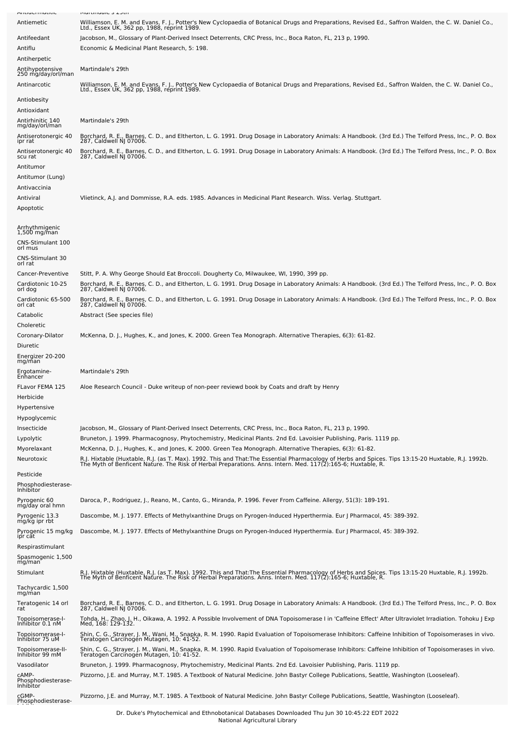|                                                   | Plat unique 3 2501                                                                                                                                                                                                                                                           |
|---------------------------------------------------|------------------------------------------------------------------------------------------------------------------------------------------------------------------------------------------------------------------------------------------------------------------------------|
| Antiemetic                                        | Williamson, E. M. and Evans, F. J., Potter's New Cyclopaedia of Botanical Drugs and Preparations, Revised Ed., Saffron Walden, the C. W. Daniel Co.,<br>Ltd., Essex UK, 362 pp, 1988, reprint 1989.                                                                          |
| Antifeedant                                       | Jacobson, M., Glossary of Plant-Derived Insect Deterrents, CRC Press, Inc., Boca Raton, FL, 213 p, 1990.                                                                                                                                                                     |
| Antiflu                                           | Economic & Medicinal Plant Research, 5: 198.                                                                                                                                                                                                                                 |
| Antiherpetic                                      |                                                                                                                                                                                                                                                                              |
| Antihypotensive<br>250 mg/day/orl/man             | Martindale's 29th                                                                                                                                                                                                                                                            |
| Antinarcotic                                      | Williamson, E. M. and Evans, F. J., Potter's New Cyclopaedia of Botanical Drugs and Preparations, Revised Ed., Saffron Walden, the C. W. Daniel Co.,<br>Ltd., Essex UK, 362 pp, 1988, reprint 1989.                                                                          |
| Antiobesity<br>Antioxidant                        |                                                                                                                                                                                                                                                                              |
| Antirhinitic 140<br>mg/day/orl/man                | Martindale's 29th                                                                                                                                                                                                                                                            |
| Antiserotonergic 40<br>ipr rat                    | Borchard, R. E., Barnes, C. D., and Eltherton, L. G. 1991. Drug Dosage in Laboratory Animals: A Handbook. (3rd Ed.) The Telford Press, Inc., P. O. Box<br>287, Caldwell NJ 07006.                                                                                            |
| Antiserotonergic 40<br>scu rat<br>Antitumor       | Borchard, R. E., Barnes, C. D., and Eltherton, L. G. 1991. Drug Dosage in Laboratory Animals: A Handbook. (3rd Ed.) The Telford Press, Inc., P. O. Box<br>287, Caldwell NJ 07006.                                                                                            |
| Antitumor (Lung)                                  |                                                                                                                                                                                                                                                                              |
| Antivaccinia                                      |                                                                                                                                                                                                                                                                              |
| Antiviral                                         | Vlietinck, A.J. and Dommisse, R.A. eds. 1985. Advances in Medicinal Plant Research. Wiss. Verlag. Stuttgart.                                                                                                                                                                 |
| Apoptotic                                         |                                                                                                                                                                                                                                                                              |
| Arrhythmigenic<br>$1,500$ mg/man                  |                                                                                                                                                                                                                                                                              |
| CNS-Stimulant 100<br>orl mus                      |                                                                                                                                                                                                                                                                              |
| CNS-Stimulant 30<br>orl rat                       |                                                                                                                                                                                                                                                                              |
| Cancer-Preventive<br>Cardiotonic 10-25<br>orl dog | Stitt, P. A. Why George Should Eat Broccoli. Dougherty Co, Milwaukee, WI, 1990, 399 pp.<br>Borchard, R. E., Barnes, C. D., and Eltherton, L. G. 1991. Drug Dosage in Laboratory Animals: A Handbook. (3rd Ed.) The Telford Press, Inc., P. O. Box<br>287, Caldwell NJ 07006. |
| Cardiotonic 65-500<br>orl cat                     | Borchard, R. E., Barnes, C. D., and Eltherton, L. G. 1991. Drug Dosage in Laboratory Animals: A Handbook. (3rd Ed.) The Telford Press, Inc., P. O. Box<br>287, Caldwell NJ 07006.                                                                                            |
| Catabolic                                         | Abstract (See species file)                                                                                                                                                                                                                                                  |
| Choleretic                                        |                                                                                                                                                                                                                                                                              |
| Coronary-Dilator                                  | McKenna, D. J., Hughes, K., and Jones, K. 2000. Green Tea Monograph. Alternative Therapies, 6(3): 61-82.                                                                                                                                                                     |
| Diuretic<br>Energizer 20-200<br>mg/man            |                                                                                                                                                                                                                                                                              |
| Ergotamine-<br>Enhancer                           | Martindale's 29th                                                                                                                                                                                                                                                            |
| FLavor FEMA 125<br>Herbicide                      | Aloe Research Council - Duke writeup of non-peer reviewd book by Coats and draft by Henry                                                                                                                                                                                    |
| Hypertensive                                      |                                                                                                                                                                                                                                                                              |
| Hypoglycemic<br>Insecticide                       | Jacobson, M., Glossary of Plant-Derived Insect Deterrents, CRC Press, Inc., Boca Raton, FL, 213 p, 1990.                                                                                                                                                                     |
| Lypolytic                                         |                                                                                                                                                                                                                                                                              |
| Myorelaxant                                       | Bruneton, J. 1999. Pharmacognosy, Phytochemistry, Medicinal Plants. 2nd Ed. Lavoisier Publishing, Paris. 1119 pp.                                                                                                                                                            |
|                                                   | McKenna, D. J., Hughes, K., and Jones, K. 2000. Green Tea Monograph. Alternative Therapies, 6(3): 61-82.                                                                                                                                                                     |
| Neurotoxic                                        | R.J. Hixtable (Huxtable, R.J. (as T. Max). 1992. This and That:The Essential Pharmacology of Herbs and Spices. Tips 13:15-20 Huxtable, R.J. 1992b.<br>The Myth of Benficent Nature. The Risk of Herbal Preparations. Anns. Intern                                            |
| Pesticide                                         |                                                                                                                                                                                                                                                                              |
| Phosphodiesterase-<br>Inhibitor                   |                                                                                                                                                                                                                                                                              |
| Pyrogenic 60<br>mg/day oral hmn                   | Daroca, P., Rodriguez, J., Reano, M., Canto, G., Miranda, P. 1996. Fever From Caffeine. Allergy, 51(3): 189-191.                                                                                                                                                             |
| Pyrogenic 13.3<br>mg/kg ipr rbt                   | Dascombe, M. J. 1977. Effects of Methylxanthine Drugs on Pyrogen-Induced Hyperthermia. Eur J Pharmacol, 45: 389-392.                                                                                                                                                         |
| Pyrogenic 15 mg/kg<br>ipr cat                     | Dascombe, M. J. 1977. Effects of Methylxanthine Drugs on Pyrogen-Induced Hyperthermia. Eur J Pharmacol, 45: 389-392.                                                                                                                                                         |
| Respirastimulant                                  |                                                                                                                                                                                                                                                                              |
| Spasmogenic 1,500<br>mg/man                       |                                                                                                                                                                                                                                                                              |
| Stimulant                                         | R.J. Hixtable (Huxtable, R.J. (as T. Max). 1992. This and That:The Essential Pharmacology of Herbs and Spices. Tips 13:15-20 Huxtable, R.J. 1992b.<br>The Myth of Benficent Nature. The Risk of Herbal Preparations. Anns. Intern                                            |
| Tachycardic 1,500<br>mg/man                       |                                                                                                                                                                                                                                                                              |
| Teratogenic 14 orl<br>rat                         | Borchard, R. E., Barnes, C. D., and Eltherton, L. G. 1991. Drug Dosage in Laboratory Animals: A Handbook. (3rd Ed.) The Telford Press, Inc., P. O. Box<br>287, Caldwell NJ 07006.                                                                                            |
| Topoisomerase-I-<br>Inhibitor 0.1 nM              | Tohda, H., Zhao, J. H., Oikawa, A. 1992. A Possible Involvement of DNA Topoisomerase I in 'Caffeine Effect' After Ultraviolet Irradiation. Tohoku J Exp<br>Med, 168: 129-132.                                                                                                |
| Topoisomerase-I-<br>Inhibitor 75 uM               | Shin, C. G., Strayer, J. M., Wani, M., Snapka, R. M. 1990. Rapid Evaluation of Topoisomerase Inhibitors: Caffeine Inhibition of Topoisomerases in vivo.<br>Teratogen Carcinogen Mutagen, 10: 41-52.                                                                          |
| Topoisomerase-II-<br>Inhibitor 99 mM              | Shin, C. G., Strayer, J. M., Wani, M., Snapka, R. M. 1990. Rapid Evaluation of Topoisomerase Inhibitors: Caffeine Inhibition of Topoisomerases in vivo.<br>Teratogen Carcinogen Mutagen, 10: 41-52.                                                                          |
| Vasodilator<br>CAMP-<br>Phosphodiesterase-        | Bruneton, J. 1999. Pharmacognosy, Phytochemistry, Medicinal Plants. 2nd Ed. Lavoisier Publishing, Paris. 1119 pp.<br>Pizzorno, J.E. and Murray, M.T. 1985. A Textbook of Natural Medicine. John Bastyr College Publications, Seattle, Washington (Looseleaf).                |
| Inhibitor<br>cGMP-<br>Phosphodiesterase-          | Pizzorno, J.E. and Murray, M.T. 1985. A Textbook of Natural Medicine. John Bastyr College Publications, Seattle, Washington (Looseleaf).                                                                                                                                     |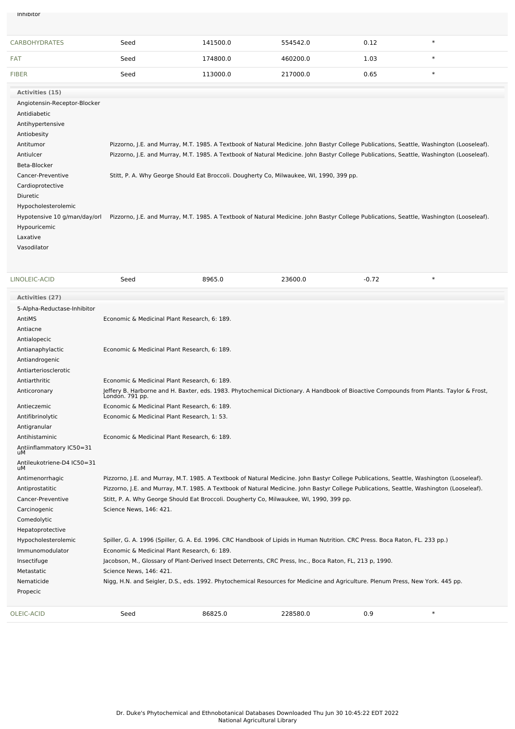Phosphodiesterase-Inhibitor

| <b>CARBOHYDRATES</b>         | Seed                                                                                                                                     | 141500.0 | 554542.0 | 0.12 | $\ast$ |
|------------------------------|------------------------------------------------------------------------------------------------------------------------------------------|----------|----------|------|--------|
| <b>FAT</b>                   | Seed                                                                                                                                     | 174800.0 | 460200.0 | 1.03 | $\ast$ |
| <b>FIBER</b>                 | Seed                                                                                                                                     | 113000.0 | 217000.0 | 0.65 | $\ast$ |
| Activities (15)              |                                                                                                                                          |          |          |      |        |
| Angiotensin-Receptor-Blocker |                                                                                                                                          |          |          |      |        |
| Antidiabetic                 |                                                                                                                                          |          |          |      |        |
| Antihypertensive             |                                                                                                                                          |          |          |      |        |
| Antiobesity                  |                                                                                                                                          |          |          |      |        |
| Antitumor                    | Pizzorno, J.E. and Murray, M.T. 1985. A Textbook of Natural Medicine. John Bastyr College Publications, Seattle, Washington (Looseleaf). |          |          |      |        |
| Antiulcer                    | Pizzorno, J.E. and Murray, M.T. 1985. A Textbook of Natural Medicine. John Bastyr College Publications, Seattle, Washington (Looseleaf). |          |          |      |        |
| Beta-Blocker                 |                                                                                                                                          |          |          |      |        |
| Cancer-Preventive            | Stitt, P. A. Why George Should Eat Broccoli. Dougherty Co, Milwaukee, WI, 1990, 399 pp.                                                  |          |          |      |        |
| Cardioprotective             |                                                                                                                                          |          |          |      |        |
| Diuretic                     |                                                                                                                                          |          |          |      |        |
| Hypocholesterolemic          |                                                                                                                                          |          |          |      |        |
| Hypotensive 10 g/man/day/orl | Pizzorno, J.E. and Murray, M.T. 1985. A Textbook of Natural Medicine. John Bastyr College Publications, Seattle, Washington (Looseleaf). |          |          |      |        |
| Hypouricemic                 |                                                                                                                                          |          |          |      |        |
| Laxative                     |                                                                                                                                          |          |          |      |        |
| Vasodilator                  |                                                                                                                                          |          |          |      |        |
|                              |                                                                                                                                          |          |          |      |        |

| LINOLEIC-ACID                    | Seed                                                                                                                                                      | 8965.0                                                                                                                                   | 23600.0  | $-0.72$ | $\ast$ |  |  |
|----------------------------------|-----------------------------------------------------------------------------------------------------------------------------------------------------------|------------------------------------------------------------------------------------------------------------------------------------------|----------|---------|--------|--|--|
| <b>Activities (27)</b>           |                                                                                                                                                           |                                                                                                                                          |          |         |        |  |  |
| 5-Alpha-Reductase-Inhibitor      |                                                                                                                                                           |                                                                                                                                          |          |         |        |  |  |
| AntiMS                           | Economic & Medicinal Plant Research, 6: 189.                                                                                                              |                                                                                                                                          |          |         |        |  |  |
| Antiacne                         |                                                                                                                                                           |                                                                                                                                          |          |         |        |  |  |
| Antialopecic                     |                                                                                                                                                           |                                                                                                                                          |          |         |        |  |  |
| Antianaphylactic                 | Economic & Medicinal Plant Research, 6: 189.                                                                                                              |                                                                                                                                          |          |         |        |  |  |
| Antiandrogenic                   |                                                                                                                                                           |                                                                                                                                          |          |         |        |  |  |
| Antiarteriosclerotic             |                                                                                                                                                           |                                                                                                                                          |          |         |        |  |  |
| Antiarthritic                    | Economic & Medicinal Plant Research, 6: 189.                                                                                                              |                                                                                                                                          |          |         |        |  |  |
| Anticoronary                     | Jeffery B. Harborne and H. Baxter, eds. 1983. Phytochemical Dictionary. A Handbook of Bioactive Compounds from Plants. Taylor & Frost,<br>London. 791 pp. |                                                                                                                                          |          |         |        |  |  |
| Antieczemic                      | Economic & Medicinal Plant Research, 6: 189.                                                                                                              |                                                                                                                                          |          |         |        |  |  |
| Antifibrinolytic                 | Economic & Medicinal Plant Research, 1: 53.                                                                                                               |                                                                                                                                          |          |         |        |  |  |
| Antigranular                     |                                                                                                                                                           |                                                                                                                                          |          |         |        |  |  |
| Antihistaminic                   | Economic & Medicinal Plant Research, 6: 189.                                                                                                              |                                                                                                                                          |          |         |        |  |  |
| Antiinflammatory IC50=31<br>uМ   |                                                                                                                                                           |                                                                                                                                          |          |         |        |  |  |
| Antileukotriene-D4 IC50=31<br>uМ |                                                                                                                                                           |                                                                                                                                          |          |         |        |  |  |
| Antimenorrhagic                  |                                                                                                                                                           | Pizzorno, J.E. and Murray, M.T. 1985. A Textbook of Natural Medicine. John Bastyr College Publications, Seattle, Washington (Looseleaf). |          |         |        |  |  |
| Antiprostatitic                  |                                                                                                                                                           | Pizzorno, J.E. and Murray, M.T. 1985. A Textbook of Natural Medicine. John Bastyr College Publications, Seattle, Washington (Looseleaf). |          |         |        |  |  |
| Cancer-Preventive                |                                                                                                                                                           | Stitt, P. A. Why George Should Eat Broccoli. Dougherty Co, Milwaukee, WI, 1990, 399 pp.                                                  |          |         |        |  |  |
| Carcinogenic                     | Science News, 146: 421.                                                                                                                                   |                                                                                                                                          |          |         |        |  |  |
| Comedolytic                      |                                                                                                                                                           |                                                                                                                                          |          |         |        |  |  |
| Hepatoprotective                 |                                                                                                                                                           |                                                                                                                                          |          |         |        |  |  |
| Hypocholesterolemic              |                                                                                                                                                           | Spiller, G. A. 1996 (Spiller, G. A. Ed. 1996. CRC Handbook of Lipids in Human Nutrition. CRC Press. Boca Raton, FL. 233 pp.)             |          |         |        |  |  |
| Immunomodulator                  | Economic & Medicinal Plant Research, 6: 189.                                                                                                              |                                                                                                                                          |          |         |        |  |  |
| Insectifuge                      |                                                                                                                                                           | Jacobson, M., Glossary of Plant-Derived Insect Deterrents, CRC Press, Inc., Boca Raton, FL, 213 p, 1990.                                 |          |         |        |  |  |
| Metastatic                       | Science News, 146: 421.                                                                                                                                   |                                                                                                                                          |          |         |        |  |  |
| Nematicide                       |                                                                                                                                                           | Nigg, H.N. and Seigler, D.S., eds. 1992. Phytochemical Resources for Medicine and Agriculture. Plenum Press, New York. 445 pp.           |          |         |        |  |  |
| Propecic                         |                                                                                                                                                           |                                                                                                                                          |          |         |        |  |  |
| <b>OLEIC-ACID</b>                | Seed                                                                                                                                                      | 86825.0                                                                                                                                  | 228580.0 | 0.9     | $\ast$ |  |  |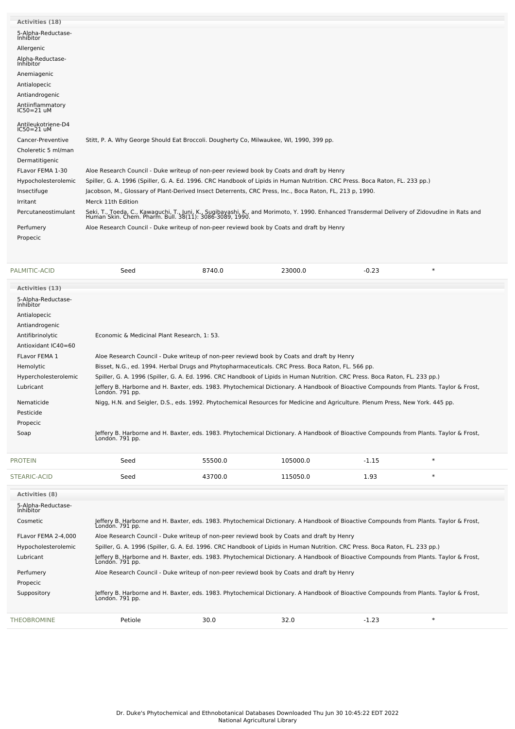| Activities (18)                    |                                                                                                                                                                                                          |
|------------------------------------|----------------------------------------------------------------------------------------------------------------------------------------------------------------------------------------------------------|
| 5-Alpha-Reductase-<br>Inhibitor    |                                                                                                                                                                                                          |
| Allergenic                         |                                                                                                                                                                                                          |
| Alpha-Reductase-<br>Inhibitor      |                                                                                                                                                                                                          |
| Anemiagenic                        |                                                                                                                                                                                                          |
| Antialopecic                       |                                                                                                                                                                                                          |
| Antiandrogenic                     |                                                                                                                                                                                                          |
| Antiinflammatory<br>$IC50 = 21$ uM |                                                                                                                                                                                                          |
| Antileukotriene-D4<br>$IC50=21$ uM |                                                                                                                                                                                                          |
| Cancer-Preventive                  | Stitt, P. A. Why George Should Eat Broccoli. Dougherty Co, Milwaukee, WI, 1990, 399 pp.                                                                                                                  |
| Choleretic 5 ml/man                |                                                                                                                                                                                                          |
| Dermatitigenic                     |                                                                                                                                                                                                          |
| FLavor FEMA 1-30                   | Aloe Research Council - Duke writeup of non-peer reviewd book by Coats and draft by Henry                                                                                                                |
| Hypocholesterolemic                | Spiller, G. A. 1996 (Spiller, G. A. Ed. 1996. CRC Handbook of Lipids in Human Nutrition. CRC Press. Boca Raton, FL. 233 pp.)                                                                             |
| Insectifuge                        | Jacobson, M., Glossary of Plant-Derived Insect Deterrents, CRC Press, Inc., Boca Raton, FL, 213 p, 1990.                                                                                                 |
| Irritant                           | Merck 11th Edition                                                                                                                                                                                       |
| Percutaneostimulant                | Seki, T., Toeda, C., Kawaguchi, T., Juni, K., Sugibayashi, K., and Morimoto, Y. 1990. Enhanced Transdermal Delivery of Zidovudine in Rats and<br>Human Skin. Chem. Pharm. Bull. 38(11): 3086-3089, 1990. |
| Perfumery                          | Aloe Research Council - Duke writeup of non-peer reviewd book by Coats and draft by Henry                                                                                                                |
| Propecic                           |                                                                                                                                                                                                          |
|                                    |                                                                                                                                                                                                          |

| PALMITIC-ACID                   | Seed                                                                                                                                                      | 8740.0                                                                                                                                                    | 23000.0  | $-0.23$ | $\ast$ |  |  |
|---------------------------------|-----------------------------------------------------------------------------------------------------------------------------------------------------------|-----------------------------------------------------------------------------------------------------------------------------------------------------------|----------|---------|--------|--|--|
| Activities (13)                 |                                                                                                                                                           |                                                                                                                                                           |          |         |        |  |  |
| 5-Alpha-Reductase-<br>Inhibitor |                                                                                                                                                           |                                                                                                                                                           |          |         |        |  |  |
| Antialopecic                    |                                                                                                                                                           |                                                                                                                                                           |          |         |        |  |  |
| Antiandrogenic                  |                                                                                                                                                           |                                                                                                                                                           |          |         |        |  |  |
| Antifibrinolytic                | Economic & Medicinal Plant Research, 1: 53.                                                                                                               |                                                                                                                                                           |          |         |        |  |  |
| Antioxidant IC40=60             |                                                                                                                                                           |                                                                                                                                                           |          |         |        |  |  |
| FLavor FEMA 1                   |                                                                                                                                                           | Aloe Research Council - Duke writeup of non-peer reviewd book by Coats and draft by Henry                                                                 |          |         |        |  |  |
| Hemolytic                       |                                                                                                                                                           | Bisset, N.G., ed. 1994. Herbal Drugs and Phytopharmaceuticals. CRC Press. Boca Raton, FL. 566 pp.                                                         |          |         |        |  |  |
| Hypercholesterolemic            |                                                                                                                                                           | Spiller, G. A. 1996 (Spiller, G. A. Ed. 1996. CRC Handbook of Lipids in Human Nutrition. CRC Press. Boca Raton, FL. 233 pp.)                              |          |         |        |  |  |
| Lubricant                       | London. 791 pp.                                                                                                                                           | Jeffery B. Harborne and H. Baxter, eds. 1983. Phytochemical Dictionary. A Handbook of Bioactive Compounds from Plants. Taylor & Frost,                    |          |         |        |  |  |
| Nematicide                      |                                                                                                                                                           | Nigg, H.N. and Seigler, D.S., eds. 1992. Phytochemical Resources for Medicine and Agriculture. Plenum Press, New York. 445 pp.                            |          |         |        |  |  |
| Pesticide                       |                                                                                                                                                           |                                                                                                                                                           |          |         |        |  |  |
| Propecic                        |                                                                                                                                                           |                                                                                                                                                           |          |         |        |  |  |
| Soap                            | London. 791 pp.                                                                                                                                           | Jeffery B. Harborne and H. Baxter, eds. 1983. Phytochemical Dictionary. A Handbook of Bioactive Compounds from Plants. Taylor & Frost,                    |          |         |        |  |  |
| <b>PROTEIN</b>                  | Seed                                                                                                                                                      | 55500.0                                                                                                                                                   | 105000.0 | $-1.15$ | $\ast$ |  |  |
| STEARIC-ACID                    | Seed                                                                                                                                                      | 43700.0                                                                                                                                                   | 115050.0 | 1.93    | $\ast$ |  |  |
| <b>Activities (8)</b>           |                                                                                                                                                           |                                                                                                                                                           |          |         |        |  |  |
| 5-Alpha-Reductase-<br>Inhibitor |                                                                                                                                                           |                                                                                                                                                           |          |         |        |  |  |
| Cosmetic                        |                                                                                                                                                           | Jeffery B. Harborne and H. Baxter, eds. 1983. Phytochemical Dictionary. A Handbook of Bioactive Compounds from Plants. Taylor & Frost,<br>London. 791 pp. |          |         |        |  |  |
| FLavor FEMA 2-4,000             |                                                                                                                                                           | Aloe Research Council - Duke writeup of non-peer reviewd book by Coats and draft by Henry                                                                 |          |         |        |  |  |
| Hypocholesterolemic             |                                                                                                                                                           | Spiller, G. A. 1996 (Spiller, G. A. Ed. 1996. CRC Handbook of Lipids in Human Nutrition. CRC Press. Boca Raton, FL. 233 pp.)                              |          |         |        |  |  |
| Lubricant                       | Jeffery B. Harborne and H. Baxter, eds. 1983. Phytochemical Dictionary. A Handbook of Bioactive Compounds from Plants. Taylor & Frost,<br>Londón. 791 pp. |                                                                                                                                                           |          |         |        |  |  |
| Perfumery                       | Aloe Research Council - Duke writeup of non-peer reviewd book by Coats and draft by Henry                                                                 |                                                                                                                                                           |          |         |        |  |  |

Suppository Jeffery B. Harborne and H. Baxter, eds. 1983. Phytochemical Dictionary. A Handbook of Bioactive Compounds from Plants. Taylor & Frost, London. 791 pp. [THEOBROMINE](file:///phytochem/chemicals/show/17073) Petiole 30.0 32.0 -1.23 \*

Propecic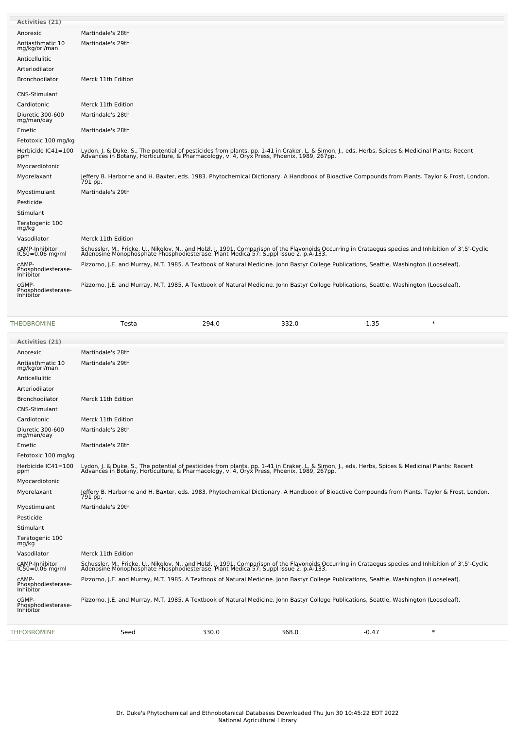| Activities (21)                          |                                                                                                                                                                                                                                   |
|------------------------------------------|-----------------------------------------------------------------------------------------------------------------------------------------------------------------------------------------------------------------------------------|
| Anorexic                                 | Martindale's 28th                                                                                                                                                                                                                 |
| Antiasthmatic 10<br>mg/kg/orl/man        | Martindale's 29th                                                                                                                                                                                                                 |
| Anticellulitic                           |                                                                                                                                                                                                                                   |
| Arteriodilator                           |                                                                                                                                                                                                                                   |
| Bronchodilator                           | Merck 11th Edition                                                                                                                                                                                                                |
| <b>CNS-Stimulant</b>                     |                                                                                                                                                                                                                                   |
| Cardiotonic                              | Merck 11th Edition                                                                                                                                                                                                                |
| Diuretic 300-600<br>mg/man/day           | Martindale's 28th                                                                                                                                                                                                                 |
| Emetic                                   | Martindale's 28th                                                                                                                                                                                                                 |
| Fetotoxic 100 mg/kg                      |                                                                                                                                                                                                                                   |
| Herbicide IC41=100<br>ppm                | Lydon, J. & Duke, S., The potential of pesticides from plants, pp. 1-41 in Craker, L. & Simon, J., eds, Herbs, Spices & Medicinal Plants: Recent<br>Advances in Botany, Horticulture, & Pharmacology, v. 4, Oryx Press, Phoenix,  |
| Myocardiotonic                           |                                                                                                                                                                                                                                   |
| Myorelaxant                              | Jeffery B. Harborne and H. Baxter, eds. 1983. Phytochemical Dictionary. A Handbook of Bioactive Compounds from Plants. Taylor & Frost, London.<br>791 pp.                                                                         |
| Myostimulant                             | Martindale's 29th                                                                                                                                                                                                                 |
| Pesticide                                |                                                                                                                                                                                                                                   |
| Stimulant                                |                                                                                                                                                                                                                                   |
| Teratogenic 100<br>mg/kg                 |                                                                                                                                                                                                                                   |
| Vasodilator                              | Merck 11th Edition                                                                                                                                                                                                                |
| cAMP-Inhibitor<br>$IC50 = 0.06$ mg/ml    | Schussler, M., Fricke, U., Nikolov, N., and Holzl, J. 1991. Comparison of the Flavonoids Occurring in Crataegus species and Inhibition of 3',5'-Cyclic<br>Adenosine Monophosphate Phosphodiesterase. Plant Medica 57: Suppl Issue |
| CAMP-<br>Phosphodiesterase-<br>Inhibitor | Pizzorno, J.E. and Murray, M.T. 1985. A Textbook of Natural Medicine. John Bastyr College Publications, Seattle, Washington (Looseleaf).                                                                                          |
| cGMP-<br>Phosphodiesterase-<br>Inhibitor | Pizzorno, J.E. and Murray, M.T. 1985. A Textbook of Natural Medicine. John Bastyr College Publications, Seattle, Washington (Looseleaf).                                                                                          |

| <b>THEOBROMINE</b>                       | Testa                                                                                                                                                                                                                             | 294.0 | 332.0 | $-1.35$ | $\ast$ |  |
|------------------------------------------|-----------------------------------------------------------------------------------------------------------------------------------------------------------------------------------------------------------------------------------|-------|-------|---------|--------|--|
| Activities (21)                          |                                                                                                                                                                                                                                   |       |       |         |        |  |
| Anorexic                                 | Martindale's 28th                                                                                                                                                                                                                 |       |       |         |        |  |
| Antiasthmatic 10<br>mg/kg/orl/man        | Martindale's 29th                                                                                                                                                                                                                 |       |       |         |        |  |
| Anticellulitic                           |                                                                                                                                                                                                                                   |       |       |         |        |  |
| Arteriodilator                           |                                                                                                                                                                                                                                   |       |       |         |        |  |
| <b>Bronchodilator</b>                    | Merck 11th Edition                                                                                                                                                                                                                |       |       |         |        |  |
| CNS-Stimulant                            |                                                                                                                                                                                                                                   |       |       |         |        |  |
| Cardiotonic                              | Merck 11th Edition                                                                                                                                                                                                                |       |       |         |        |  |
| Diuretic 300-600<br>mg/man/day           | Martindale's 28th                                                                                                                                                                                                                 |       |       |         |        |  |
| Emetic                                   | Martindale's 28th                                                                                                                                                                                                                 |       |       |         |        |  |
| Fetotoxic 100 mg/kg                      |                                                                                                                                                                                                                                   |       |       |         |        |  |
| Herbicide IC41=100<br>ppm                | Lydon, J. & Duke, S., The potential of pesticides from plants, pp. 1-41 in Craker, L. & Simon, J., eds, Herbs, Spices & Medicinal Plants: Recent<br>Advances in Botany, Horticulture, & Pharmacology, v. 4, Oryx Press, Phoenix,  |       |       |         |        |  |
| Myocardiotonic                           |                                                                                                                                                                                                                                   |       |       |         |        |  |
| Myorelaxant                              | Jeffery B. Harborne and H. Baxter, eds. 1983. Phytochemical Dictionary. A Handbook of Bioactive Compounds from Plants. Taylor & Frost, London.<br>791 pp.                                                                         |       |       |         |        |  |
| Myostimulant                             | Martindale's 29th                                                                                                                                                                                                                 |       |       |         |        |  |
| Pesticide                                |                                                                                                                                                                                                                                   |       |       |         |        |  |
| Stimulant                                |                                                                                                                                                                                                                                   |       |       |         |        |  |
| Teratogenic 100<br>mg/kg                 |                                                                                                                                                                                                                                   |       |       |         |        |  |
| Vasodilator                              | Merck 11th Edition                                                                                                                                                                                                                |       |       |         |        |  |
| cAMP-Inhibitor<br>$IC50 = 0.06$ mg/ml    | Schussler, M., Fricke, U., Nikolov, N., and Holzl, J. 1991. Comparison of the Flavonoids Occurring in Crataegus species and Inhibition of 3',5'-Cyclic<br>Adenosine Monophosphate Phosphodiesterase. Plant Medica 57: Suppl Issue |       |       |         |        |  |
| cAMP-<br>Phosphodiesterase-<br>Inhibitor | Pizzorno, J.E. and Murray, M.T. 1985. A Textbook of Natural Medicine. John Bastyr College Publications, Seattle, Washington (Looseleaf).                                                                                          |       |       |         |        |  |
| cGMP-<br>Phosphodiesterase-<br>Inhibitor | Pizzorno, J.E. and Murray, M.T. 1985. A Textbook of Natural Medicine. John Bastyr College Publications, Seattle, Washington (Looseleaf).                                                                                          |       |       |         |        |  |
| <b>THEOBROMINE</b>                       | Seed                                                                                                                                                                                                                              | 330.0 | 368.0 | $-0.47$ | $\ast$ |  |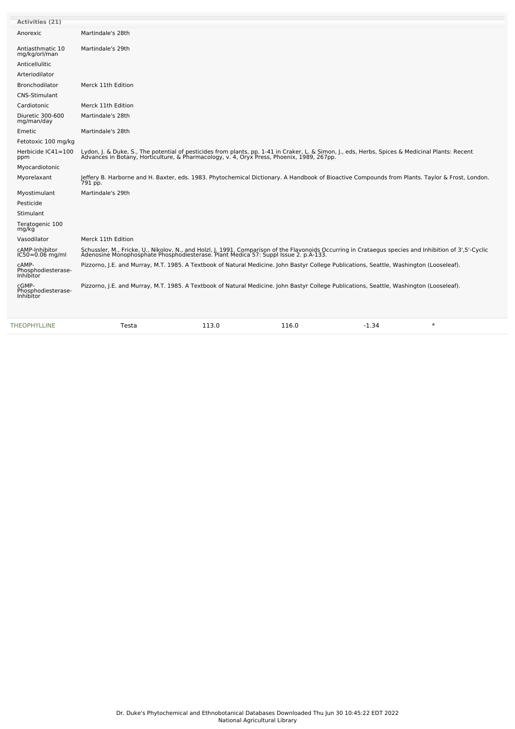| Activities (21)                                 |                                                                                                                                                                                                                                   |
|-------------------------------------------------|-----------------------------------------------------------------------------------------------------------------------------------------------------------------------------------------------------------------------------------|
| Anorexic                                        | Martindale's 28th                                                                                                                                                                                                                 |
| Antiasthmatic 10<br>mg/kg/orl/man               | Martindale's 29th                                                                                                                                                                                                                 |
| Anticellulitic                                  |                                                                                                                                                                                                                                   |
| Arteriodilator                                  |                                                                                                                                                                                                                                   |
| Bronchodilator                                  | Merck 11th Edition                                                                                                                                                                                                                |
| <b>CNS-Stimulant</b>                            |                                                                                                                                                                                                                                   |
| Cardiotonic                                     | Merck 11th Edition                                                                                                                                                                                                                |
| Diuretic 300-600<br>mg/man/day                  | Martindale's 28th                                                                                                                                                                                                                 |
| Emetic                                          | Martindale's 28th                                                                                                                                                                                                                 |
| Fetotoxic 100 mg/kg                             |                                                                                                                                                                                                                                   |
| Herbicide IC41=100<br>ppm                       | Lydon, J. & Duke, S., The potential of pesticides from plants, pp. 1-41 in Craker, L. & Simon, J., eds, Herbs, Spices & Medicinal Plants: Recent<br>Advances in Botany, Horticulture, & Pharmacology, v. 4, Oryx Press, Phoenix,  |
| Myocardiotonic                                  |                                                                                                                                                                                                                                   |
| Myorelaxant                                     | Jeffery B. Harborne and H. Baxter, eds. 1983. Phytochemical Dictionary. A Handbook of Bioactive Compounds from Plants. Taylor & Frost, London.<br>791 pp.                                                                         |
| Myostimulant                                    | Martindale's 29th                                                                                                                                                                                                                 |
| Pesticide                                       |                                                                                                                                                                                                                                   |
| Stimulant                                       |                                                                                                                                                                                                                                   |
| Teratogenic 100<br>mg/kg                        |                                                                                                                                                                                                                                   |
| Vasodilator                                     | Merck 11th Edition                                                                                                                                                                                                                |
| cAMP-Inhibitor<br>$IC50 = 0.06$ mg/ml           | Schussler, M., Fricke, U., Nikolov, N., and Holzl, J. 1991. Comparison of the Flavonoids Occurring in Crataegus species and Inhibition of 3',5'-Cyclic<br>Adenosine Monophosphate Phosphodiesterase. Plant Medica 57: Suppl Issue |
| cAMP-<br>Phosphodiesterase-<br><b>Inhibitor</b> | Pizzorno, J.E. and Murray, M.T. 1985. A Textbook of Natural Medicine. John Bastyr College Publications, Seattle, Washington (Looseleaf).                                                                                          |
| cGMP-<br>Phosphodiesterase-<br>Inhibitor        | Pizzorno, J.E. and Murray, M.T. 1985. A Textbook of Natural Medicine. John Bastyr College Publications, Seattle, Washington (Looseleaf).                                                                                          |
|                                                 |                                                                                                                                                                                                                                   |

| $\cdot$ $\cdot$ $\cdot$ $\cdot$ $\cdot$ | LINE<br>THF.<br>∟סר | $-$<br>Testa | $-$<br>LI3.0 | .<br>116.U | 1.34 |  |
|-----------------------------------------|---------------------|--------------|--------------|------------|------|--|
|-----------------------------------------|---------------------|--------------|--------------|------------|------|--|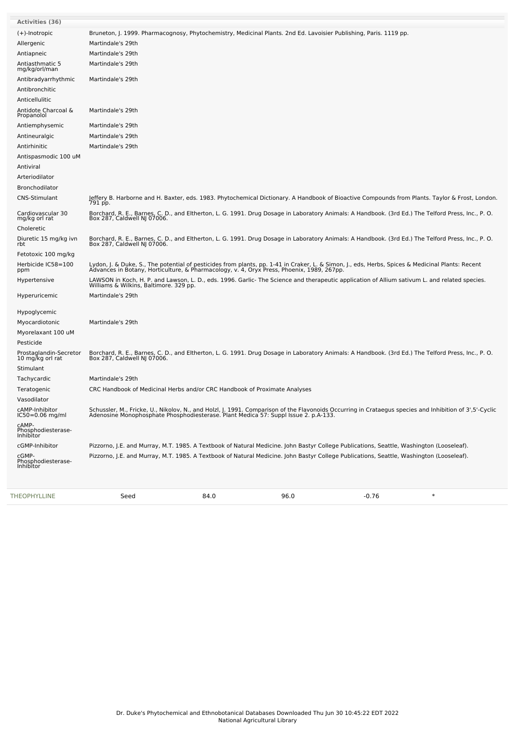| <b>Activities (36)</b>                     |                                                                                                                                                                                                                                   |
|--------------------------------------------|-----------------------------------------------------------------------------------------------------------------------------------------------------------------------------------------------------------------------------------|
| (+)-Inotropic                              | Bruneton, J. 1999. Pharmacognosy, Phytochemistry, Medicinal Plants. 2nd Ed. Lavoisier Publishing, Paris. 1119 pp.                                                                                                                 |
| Allergenic                                 | Martindale's 29th                                                                                                                                                                                                                 |
| Antiapneic                                 | Martindale's 29th                                                                                                                                                                                                                 |
| Antiasthmatic 5<br>mg/kg/orl/man           | Martindale's 29th                                                                                                                                                                                                                 |
| Antibradyarrhythmic                        | Martindale's 29th                                                                                                                                                                                                                 |
| Antibronchitic                             |                                                                                                                                                                                                                                   |
| Anticellulitic                             |                                                                                                                                                                                                                                   |
| Antidote Charcoal &<br>Propanolol          | Martindale's 29th                                                                                                                                                                                                                 |
| Antiemphysemic                             | Martindale's 29th                                                                                                                                                                                                                 |
| Antineuralgic                              | Martindale's 29th                                                                                                                                                                                                                 |
| Antirhinitic                               | Martindale's 29th                                                                                                                                                                                                                 |
| Antispasmodic 100 uM                       |                                                                                                                                                                                                                                   |
| Antiviral                                  |                                                                                                                                                                                                                                   |
| Arteriodilator                             |                                                                                                                                                                                                                                   |
| <b>Bronchodilator</b>                      |                                                                                                                                                                                                                                   |
| CNS-Stimulant                              | Jeffery B. Harborne and H. Baxter, eds. 1983. Phytochemical Dictionary. A Handbook of Bioactive Compounds from Plants. Taylor & Frost, London.<br>791 pp.                                                                         |
| Cardiovascular 30<br>mg/kg orl rat         | Borchard, R. E., Barnes, C. D., and Eltherton, L. G. 1991. Drug Dosage in Laboratory Animals: A Handbook. (3rd Ed.) The Telford Press, Inc., P. O.<br>Box 287, Caldwell NJ 07006.                                                 |
| Choleretic                                 |                                                                                                                                                                                                                                   |
| Diuretic 15 mg/kg ivn<br>rbt               | Borchard, R. E., Barnes, C. D., and Eltherton, L. G. 1991. Drug Dosage in Laboratory Animals: A Handbook. (3rd Ed.) The Telford Press, Inc., P. O.<br>Box 287, Caldwell NJ 07006.                                                 |
| Fetotoxic 100 mg/kg                        |                                                                                                                                                                                                                                   |
| Herbicide IC58=100<br>ppm                  | Lydon, J. & Duke, S., The potential of pesticides from plants, pp. 1-41 in Craker, L. & Simon, J., eds, Herbs, Spices & Medicinal Plants: Recent<br>Advances in Botany, Horticulture, & Pharmacology, v. 4, Oryx Press, Phoenix,  |
| Hypertensive                               | LAWSON in Koch, H. P. and Lawson, L. D., eds. 1996. Garlic- The Science and therapeutic application of Allium sativum L. and related species.<br>Williams & Wilkins, Baltimore. 329 pp.                                           |
| Hyperuricemic                              | Martindale's 29th                                                                                                                                                                                                                 |
| Hypoglycemic                               |                                                                                                                                                                                                                                   |
| Myocardiotonic                             | Martindale's 29th                                                                                                                                                                                                                 |
| Myorelaxant 100 uM                         |                                                                                                                                                                                                                                   |
| Pesticide                                  |                                                                                                                                                                                                                                   |
| Prostaglandin-Secretor<br>10 mg/kg orl rat | Borchard, R. E., Barnes, C. D., and Eltherton, L. G. 1991. Drug Dosage in Laboratory Animals: A Handbook. (3rd Ed.) The Telford Press, Inc., P. O.<br>Box 287, Caldwell NJ 07006.                                                 |
| Stimulant                                  |                                                                                                                                                                                                                                   |
| Tachycardic                                | Martindale's 29th                                                                                                                                                                                                                 |
| Teratogenic                                | CRC Handbook of Medicinal Herbs and/or CRC Handbook of Proximate Analyses                                                                                                                                                         |
| Vasodilator                                |                                                                                                                                                                                                                                   |
| cAMP-Inhibitor<br>$IC50 = 0.06$ mg/ml      | Schussler, M., Fricke, U., Nikolov, N., and Holzl, J. 1991. Comparison of the Flavonoids Occurring in Crataegus species and Inhibition of 3',5'-Cyclic<br>Adenosine Monophosphate Phosphodiesterase. Plant Medica 57: Suppl Issue |
| cAMP-<br>Phosphodiesterase-<br>Inhibitor   |                                                                                                                                                                                                                                   |
| cGMP-Inhibitor                             | Pizzorno, J.E. and Murray, M.T. 1985. A Textbook of Natural Medicine. John Bastyr College Publications, Seattle, Washington (Looseleaf).                                                                                          |
| cGMP-<br>Phosphodiesterase-<br>Inhibitor   | Pizzorno, J.E. and Murray, M.T. 1985. A Textbook of Natural Medicine. John Bastyr College Publications, Seattle, Washington (Looseleaf).                                                                                          |
|                                            |                                                                                                                                                                                                                                   |

[THEOPHYLLINE](file:///phytochem/chemicals/show/17076) Seed 84.0 96.0 -0.76 \*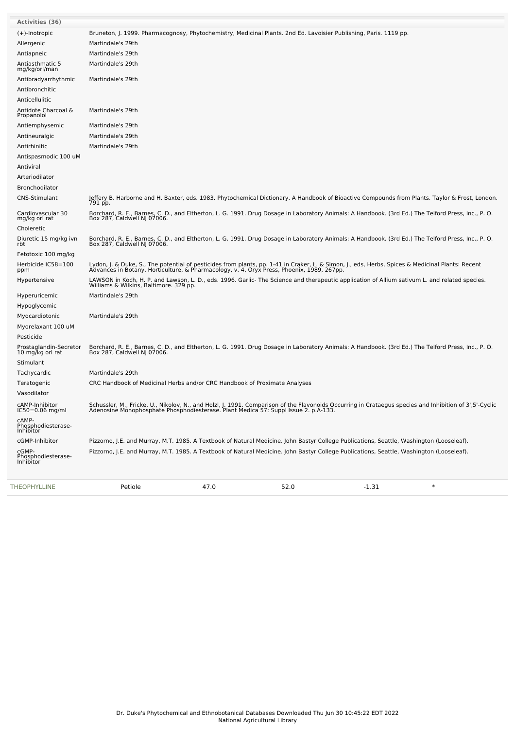| THEOPHYLLINE                              | Petiole                                                                   | 47.0 | 52.0                                                                                                                                                                                                                             | $-1.31$ | $\ast$                                                                                                                                                    |
|-------------------------------------------|---------------------------------------------------------------------------|------|----------------------------------------------------------------------------------------------------------------------------------------------------------------------------------------------------------------------------------|---------|-----------------------------------------------------------------------------------------------------------------------------------------------------------|
| cGMP-<br>Phosphodiesterase-<br>Inhibitor  |                                                                           |      | Pizzorno, J.E. and Murray, M.T. 1985. A Textbook of Natural Medicine. John Bastyr College Publications, Seattle, Washington (Looseleaf).                                                                                         |         |                                                                                                                                                           |
| cGMP-Inhibitor                            |                                                                           |      | Pizzorno, J.E. and Murray, M.T. 1985. A Textbook of Natural Medicine. John Bastyr College Publications, Seattle, Washington (Looseleaf).                                                                                         |         |                                                                                                                                                           |
| CAMP-<br>Phosphodiesterase-<br>Inhibitor  |                                                                           |      |                                                                                                                                                                                                                                  |         |                                                                                                                                                           |
| cAMP-Inhibitor<br>$IC50 = 0.06$ mg/ml     |                                                                           |      | Adenosine Monophosphate Phosphodiesterase. Plant Medica 57: Suppl Issue 2. p.A-133.                                                                                                                                              |         | Schussler, M., Fricke, U., Nikolov, N., and Holzl, J. 1991. Comparison of the Flavonoids Occurring in Crataegus species and Inhibition of 3',5'-Cyclic    |
| Vasodilator                               |                                                                           |      |                                                                                                                                                                                                                                  |         |                                                                                                                                                           |
| Teratogenic                               | CRC Handbook of Medicinal Herbs and/or CRC Handbook of Proximate Analyses |      |                                                                                                                                                                                                                                  |         |                                                                                                                                                           |
| Tachycardic                               | Martindale's 29th                                                         |      |                                                                                                                                                                                                                                  |         |                                                                                                                                                           |
| 10 mg/kg orl rat<br>Stimulant             | Box 287, Caldwell NJ 07006.                                               |      |                                                                                                                                                                                                                                  |         |                                                                                                                                                           |
| Pesticide<br>Prostaglandin-Secretor       |                                                                           |      | Borchard, R. E., Barnes, C. D., and Eltherton, L. G. 1991. Drug Dosage in Laboratory Animals: A Handbook. (3rd Ed.) The Telford Press, Inc., P. O.                                                                               |         |                                                                                                                                                           |
| Myocardiotonic<br>Myorelaxant 100 uM      |                                                                           |      |                                                                                                                                                                                                                                  |         |                                                                                                                                                           |
| Hypoglycemic                              | Martindale's 29th                                                         |      |                                                                                                                                                                                                                                  |         |                                                                                                                                                           |
| Hyperuricemic                             | Martindale's 29th                                                         |      |                                                                                                                                                                                                                                  |         |                                                                                                                                                           |
|                                           |                                                                           |      | LAWSON in Koch, H. P. and Lawson, L. D., eds. 1996. Garlic- The Science and therapeutic application of Allium sativum L. and related species.<br>Williams & Wilkins, Baltimore. 329 pp.                                          |         |                                                                                                                                                           |
| ppm<br>Hypertensive                       |                                                                           |      |                                                                                                                                                                                                                                  |         |                                                                                                                                                           |
| Fetotoxic 100 mg/kg<br>Herbicide IC58=100 |                                                                           |      | Lydon, J. & Duke, S., The potential of pesticides from plants, pp. 1-41 in Craker, L. & Simon, J., eds, Herbs, Spices & Medicinal Plants: Recent<br>Advances in Botany, Horticulture, & Pharmacology, v. 4, Oryx Press, Phoenix, |         |                                                                                                                                                           |
| rbt                                       |                                                                           |      |                                                                                                                                                                                                                                  |         |                                                                                                                                                           |
| Diuretic 15 mg/kg ivn                     |                                                                           |      | Borchard, R. E., Barnes, C. D., and Eltherton, L. G. 1991. Drug Dosage in Laboratory Animals: A Handbook. (3rd Ed.) The Telford Press, Inc., P. O.<br>Box 287, Caldwell NJ 07006.                                                |         |                                                                                                                                                           |
| mg/kg orl rat<br>Choleretic               | Box 287, Caldwell NJ 07006.                                               |      |                                                                                                                                                                                                                                  |         |                                                                                                                                                           |
| Cardiovascular 30                         |                                                                           |      | Borchard, R. E., Barnes, C. D., and Eltherton, L. G. 1991. Drug Dosage in Laboratory Animals: A Handbook. (3rd Ed.) The Telford Press, Inc., P. O.                                                                               |         | Jeffery B. Harborne and H. Baxter, eds. 1983. Phytochemical Dictionary. A Handbook of Bioactive Compounds from Plants. Taylor & Frost, London.<br>791 pp. |
| Bronchodilator<br><b>CNS-Stimulant</b>    |                                                                           |      |                                                                                                                                                                                                                                  |         |                                                                                                                                                           |
| Arteriodilator                            |                                                                           |      |                                                                                                                                                                                                                                  |         |                                                                                                                                                           |
| Antiviral                                 |                                                                           |      |                                                                                                                                                                                                                                  |         |                                                                                                                                                           |
| Antispasmodic 100 uM                      |                                                                           |      |                                                                                                                                                                                                                                  |         |                                                                                                                                                           |
| Antirhinitic                              | Martindale's 29th                                                         |      |                                                                                                                                                                                                                                  |         |                                                                                                                                                           |
| Antineuralgic                             | Martindale's 29th                                                         |      |                                                                                                                                                                                                                                  |         |                                                                                                                                                           |
| Antiemphysemic                            | Martindale's 29th                                                         |      |                                                                                                                                                                                                                                  |         |                                                                                                                                                           |
| Antidote Charcoal &<br>Propanolol         | Martindale's 29th                                                         |      |                                                                                                                                                                                                                                  |         |                                                                                                                                                           |
| Anticellulitic                            |                                                                           |      |                                                                                                                                                                                                                                  |         |                                                                                                                                                           |
| Antibronchitic                            |                                                                           |      |                                                                                                                                                                                                                                  |         |                                                                                                                                                           |
| Antibradyarrhythmic                       | Martindale's 29th                                                         |      |                                                                                                                                                                                                                                  |         |                                                                                                                                                           |
| Antiasthmatic 5<br>mg/kg/orl/man          | Martindale's 29th                                                         |      |                                                                                                                                                                                                                                  |         |                                                                                                                                                           |
| Antiapneic                                | Martindale's 29th                                                         |      |                                                                                                                                                                                                                                  |         |                                                                                                                                                           |
| Allergenic                                | Martindale's 29th                                                         |      |                                                                                                                                                                                                                                  |         |                                                                                                                                                           |
| $(+)$ -Inotropic                          |                                                                           |      | Bruneton, J. 1999. Pharmacognosy, Phytochemistry, Medicinal Plants. 2nd Ed. Lavoisier Publishing, Paris. 1119 pp.                                                                                                                |         |                                                                                                                                                           |
| Activities (36)                           |                                                                           |      |                                                                                                                                                                                                                                  |         |                                                                                                                                                           |